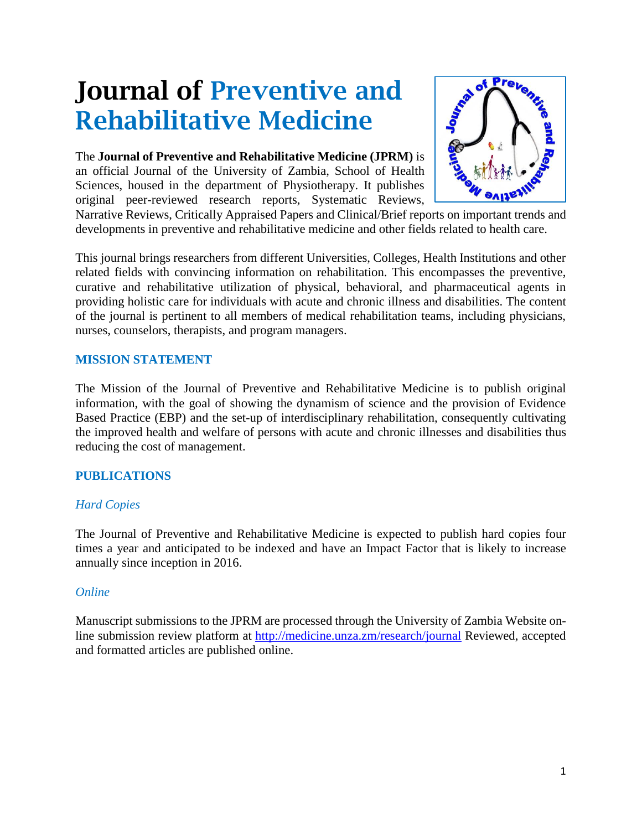# Journal of Preventive and Rehabilitative Medicine

The **Journal of Preventive and Rehabilitative Medicine (JPRM)** is an official Journal of the University of Zambia, School of Health Sciences, housed in the department of Physiotherapy. It publishes original peer-reviewed research reports, Systematic Reviews,



Narrative Reviews, Critically Appraised Papers and Clinical/Brief reports on important trends and developments in preventive and rehabilitative medicine and other fields related to health care.

This journal brings researchers from different Universities, Colleges, Health Institutions and other related fields with convincing information on rehabilitation. This encompasses the preventive, curative and rehabilitative utilization of physical, behavioral, and pharmaceutical agents in providing holistic care for individuals with acute and chronic illness and disabilities. The content of the journal is pertinent to all members of medical rehabilitation teams, including physicians, nurses, counselors, therapists, and program managers.

## **MISSION STATEMENT**

The Mission of the Journal of Preventive and Rehabilitative Medicine is to publish original information, with the goal of showing the dynamism of science and the provision of Evidence Based Practice (EBP) and the set-up of interdisciplinary rehabilitation, consequently cultivating the improved health and welfare of persons with acute and chronic illnesses and disabilities thus reducing the cost of management.

## **PUBLICATIONS**

#### *Hard Copies*

The Journal of Preventive and Rehabilitative Medicine is expected to publish hard copies four times a year and anticipated to be indexed and have an Impact Factor that is likely to increase annually since inception in 2016.

#### *Online*

Manuscript submissions to the JPRM are processed through the University of Zambia Website online submission review platform at<http://medicine.unza.zm/research/journal> Reviewed, accepted and formatted articles are published online.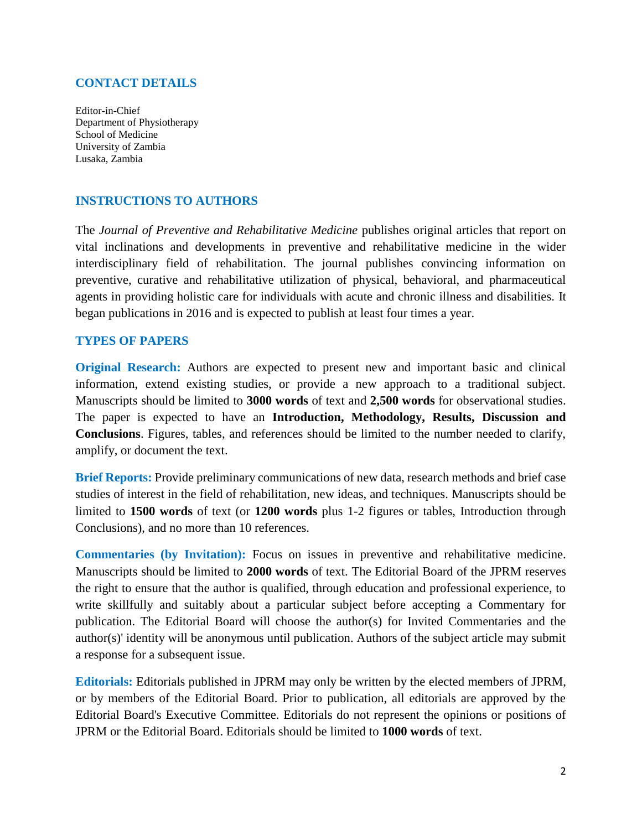#### **CONTACT DETAILS**

Editor-in-Chief Department of Physiotherapy School of Medicine University of Zambia Lusaka, Zambia

#### **INSTRUCTIONS TO AUTHORS**

The *Journal of Preventive and Rehabilitative Medicine* publishes original articles that report on vital inclinations and developments in preventive and rehabilitative medicine in the wider interdisciplinary field of rehabilitation. The journal publishes convincing information on preventive, curative and rehabilitative utilization of physical, behavioral, and pharmaceutical agents in providing holistic care for individuals with acute and chronic illness and disabilities. It began publications in 2016 and is expected to publish at least four times a year.

#### **TYPES OF PAPERS**

**Original Research:** Authors are expected to present new and important basic and clinical information, extend existing studies, or provide a new approach to a traditional subject. Manuscripts should be limited to **3000 words** of text and **2,500 words** for observational studies. The paper is expected to have an **Introduction, Methodology, Results, Discussion and Conclusions**. Figures, tables, and references should be limited to the number needed to clarify, amplify, or document the text.

**Brief Reports:** Provide preliminary communications of new data, research methods and brief case studies of interest in the field of rehabilitation, new ideas, and techniques. Manuscripts should be limited to **1500 words** of text (or **1200 words** plus 1-2 figures or tables, Introduction through Conclusions), and no more than 10 references.

**Commentaries (by Invitation):** Focus on issues in preventive and rehabilitative medicine. Manuscripts should be limited to **2000 words** of text. The Editorial Board of the JPRM reserves the right to ensure that the author is qualified, through education and professional experience, to write skillfully and suitably about a particular subject before accepting a Commentary for publication. The Editorial Board will choose the author(s) for Invited Commentaries and the author(s)' identity will be anonymous until publication. Authors of the subject article may submit a response for a subsequent issue.

**Editorials:** Editorials published in JPRM may only be written by the elected members of JPRM, or by members of the Editorial Board. Prior to publication, all editorials are approved by the Editorial Board's Executive Committee. Editorials do not represent the opinions or positions of JPRM or the Editorial Board. Editorials should be limited to **1000 words** of text.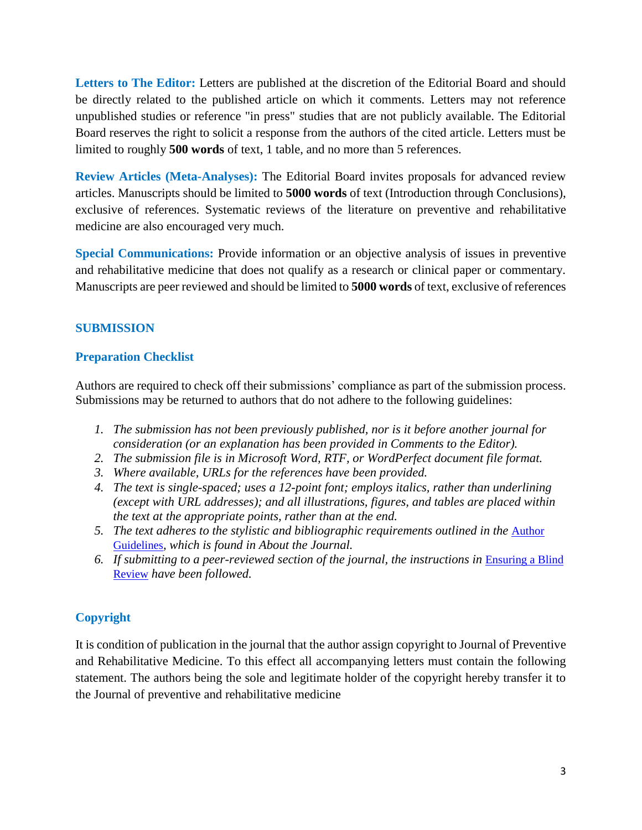**Letters to The Editor:** Letters are published at the discretion of the Editorial Board and should be directly related to the published article on which it comments. Letters may not reference unpublished studies or reference "in press" studies that are not publicly available. The Editorial Board reserves the right to solicit a response from the authors of the cited article. Letters must be limited to roughly **500 words** of text, 1 table, and no more than 5 references.

**Review Articles (Meta-Analyses):** The Editorial Board invites proposals for advanced review articles. Manuscripts should be limited to **5000 words** of text (Introduction through Conclusions), exclusive of references. Systematic reviews of the literature on preventive and rehabilitative medicine are also encouraged very much.

**Special Communications:** Provide information or an objective analysis of issues in preventive and rehabilitative medicine that does not qualify as a research or clinical paper or commentary. Manuscripts are peer reviewed and should be limited to **5000 words** of text, exclusive of references

# **SUBMISSION**

# **Preparation Checklist**

Authors are required to check off their submissions' compliance as part of the submission process. Submissions may be returned to authors that do not adhere to the following guidelines:

- *1. The submission has not been previously published, nor is it before another journal for consideration (or an explanation has been provided in Comments to the Editor).*
- *2. The submission file is in Microsoft Word, RTF, or WordPerfect document file format.*
- *3. Where available, URLs for the references have been provided.*
- *4. The text is single-spaced; uses a 12-point font; employs italics, rather than underlining (except with URL addresses); and all illustrations, figures, and tables are placed within the text at the appropriate points, rather than at the end.*
- *5. The text adheres to the stylistic and bibliographic requirements outlined in the* [Author](http://www.jnsp.org/index.php/jnsp/about/submissions#authorGuidelines)  [Guidelines](http://www.jnsp.org/index.php/jnsp/about/submissions#authorGuidelines)*, which is found in About the Journal.*
- *6. If submitting to a peer-reviewed section of the journal, the instructions in* [Ensuring a Blind](javascript:openHelp()  [Review](javascript:openHelp() *have been followed.*

# **Copyright**

It is condition of publication in the journal that the author assign copyright to Journal of Preventive and Rehabilitative Medicine. To this effect all accompanying letters must contain the following statement. The authors being the sole and legitimate holder of the copyright hereby transfer it to the Journal of preventive and rehabilitative medicine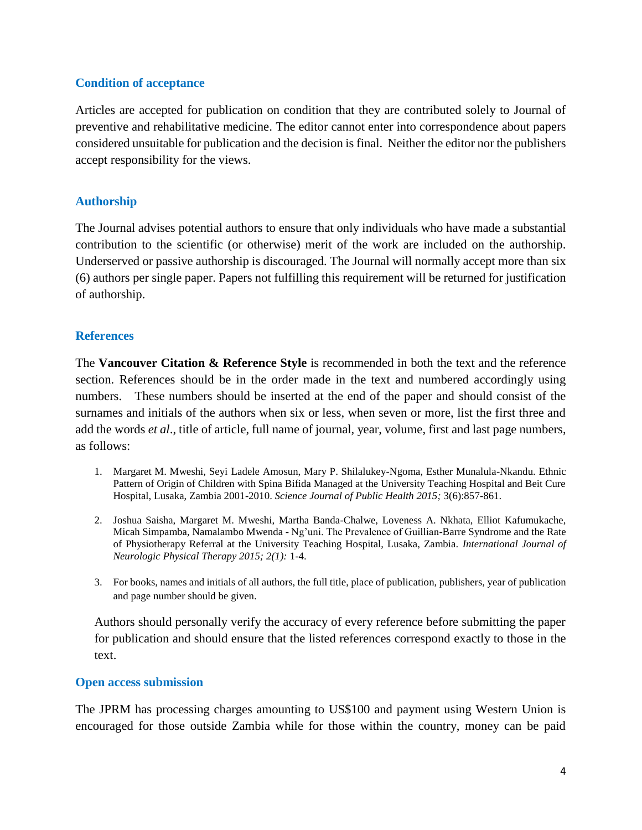## **Condition of acceptance**

Articles are accepted for publication on condition that they are contributed solely to Journal of preventive and rehabilitative medicine. The editor cannot enter into correspondence about papers considered unsuitable for publication and the decision is final. Neither the editor nor the publishers accept responsibility for the views.

## **Authorship**

The Journal advises potential authors to ensure that only individuals who have made a substantial contribution to the scientific (or otherwise) merit of the work are included on the authorship. Underserved or passive authorship is discouraged. The Journal will normally accept more than six (6) authors per single paper. Papers not fulfilling this requirement will be returned for justification of authorship.

## **References**

The **Vancouver Citation & Reference Style** is recommended in both the text and the reference section. References should be in the order made in the text and numbered accordingly using numbers. These numbers should be inserted at the end of the paper and should consist of the surnames and initials of the authors when six or less, when seven or more, list the first three and add the words *et al*., title of article, full name of journal, year, volume, first and last page numbers, as follows:

- 1. Margaret M. Mweshi, Seyi Ladele Amosun, Mary P. Shilalukey-Ngoma, Esther Munalula-Nkandu. Ethnic Pattern of Origin of Children with Spina Bifida Managed at the University Teaching Hospital and Beit Cure Hospital, Lusaka, Zambia 2001-2010. *Science Journal of Public Health 2015;* 3(6):857-861.
- 2. Joshua Saisha, Margaret M. Mweshi, Martha Banda-Chalwe, Loveness A. Nkhata, Elliot Kafumukache, Micah Simpamba, Namalambo Mwenda - Ng'uni. The Prevalence of Guillian-Barre Syndrome and the Rate of Physiotherapy Referral at the University Teaching Hospital, Lusaka, Zambia. *International Journal of Neurologic Physical Therapy 2015; 2(1):* 1-4.
- 3. For books, names and initials of all authors, the full title, place of publication, publishers, year of publication and page number should be given.

Authors should personally verify the accuracy of every reference before submitting the paper for publication and should ensure that the listed references correspond exactly to those in the text.

#### **Open access submission**

The JPRM has processing charges amounting to US\$100 and payment using Western Union is encouraged for those outside Zambia while for those within the country, money can be paid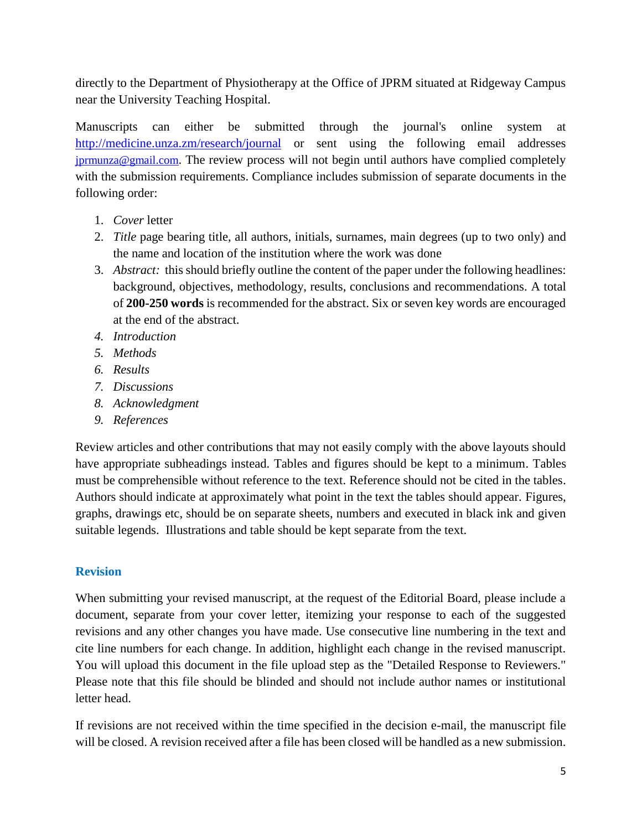directly to the Department of Physiotherapy at the Office of JPRM situated at Ridgeway Campus near the University Teaching Hospital.

Manuscripts can either be submitted through the journal's online system at <http://medicine.unza.zm/research/journal> or sent using the following email addresses jprmunza@gmail.com. The review process will not begin until authors have complied completely with the submission requirements. Compliance includes submission of separate documents in the following order:

- 1. *Cover* letter
- 2. *Title* page bearing title, all authors, initials, surnames, main degrees (up to two only) and the name and location of the institution where the work was done
- 3. *Abstract:* this should briefly outline the content of the paper under the following headlines: background, objectives, methodology, results, conclusions and recommendations. A total of **200-250 words** is recommended for the abstract. Six or seven key words are encouraged at the end of the abstract.
- *4. Introduction*
- *5. Methods*
- *6. Results*
- *7. Discussions*
- *8. Acknowledgment*
- *9. References*

Review articles and other contributions that may not easily comply with the above layouts should have appropriate subheadings instead. Tables and figures should be kept to a minimum. Tables must be comprehensible without reference to the text. Reference should not be cited in the tables. Authors should indicate at approximately what point in the text the tables should appear. Figures, graphs, drawings etc, should be on separate sheets, numbers and executed in black ink and given suitable legends. Illustrations and table should be kept separate from the text.

# **Revision**

When submitting your revised manuscript, at the request of the Editorial Board, please include a document, separate from your cover letter, itemizing your response to each of the suggested revisions and any other changes you have made. Use consecutive line numbering in the text and cite line numbers for each change. In addition, highlight each change in the revised manuscript. You will upload this document in the file upload step as the "Detailed Response to Reviewers." Please note that this file should be blinded and should not include author names or institutional letter head.

If revisions are not received within the time specified in the decision e-mail, the manuscript file will be closed. A revision received after a file has been closed will be handled as a new submission.